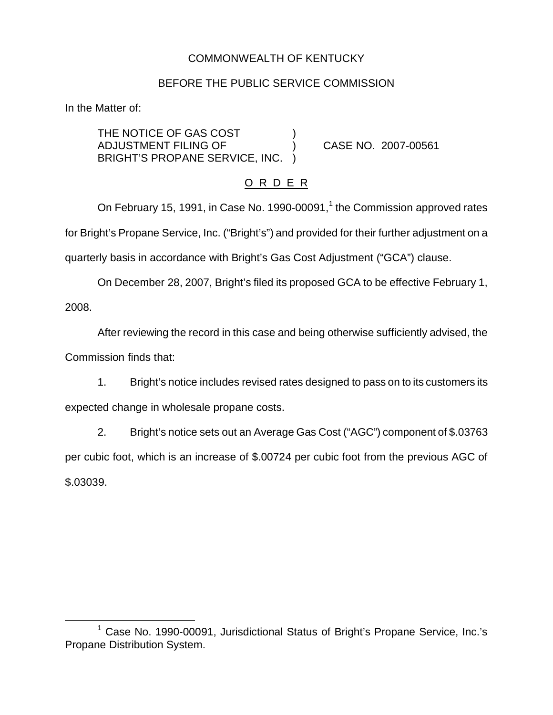# COMMONWEALTH OF KENTUCKY

### BEFORE THE PUBLIC SERVICE COMMISSION

In the Matter of:

THE NOTICE OF GAS COST ADJUSTMENT FILING OF (2007-00561) BRIGHT'S PROPANE SERVICE, INC. )

# O R D E R

On February 15, 1991, in Case No. 1990-00091, $<sup>1</sup>$  the Commission approved rates</sup> for Bright's Propane Service, Inc. ("Bright's") and provided for their further adjustment on a quarterly basis in accordance with Bright's Gas Cost Adjustment ("GCA") clause.

On December 28, 2007, Bright's filed its proposed GCA to be effective February 1, 2008.

After reviewing the record in this case and being otherwise sufficiently advised, the Commission finds that:

1. Bright's notice includes revised rates designed to pass on to its customers its expected change in wholesale propane costs.

2. Bright's notice sets out an Average Gas Cost ("AGC") component of \$.03763 per cubic foot, which is an increase of \$.00724 per cubic foot from the previous AGC of \$.03039.

 $1$  Case No. 1990-00091, Jurisdictional Status of Bright's Propane Service, Inc.'s Propane Distribution System.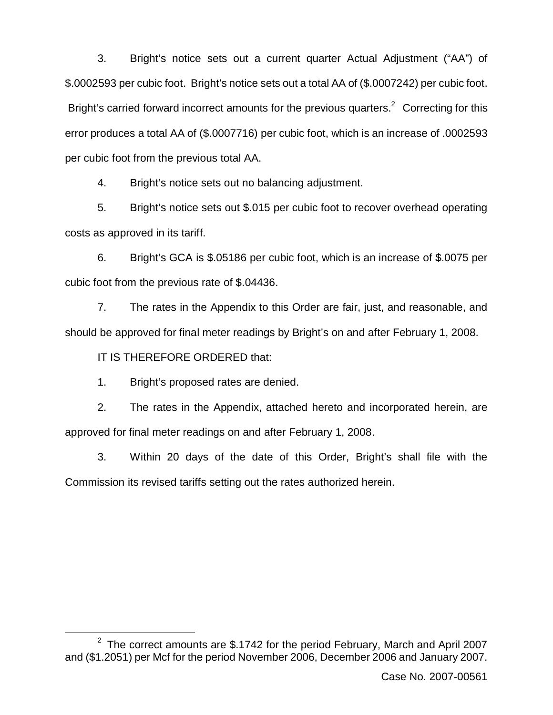3. Bright's notice sets out a current quarter Actual Adjustment ("AA") of \$.0002593 per cubic foot. Bright's notice sets out a total AA of (\$.0007242) per cubic foot. Bright's carried forward incorrect amounts for the previous quarters.<sup>2</sup> Correcting for this error produces a total AA of (\$.0007716) per cubic foot, which is an increase of .0002593 per cubic foot from the previous total AA.

4. Bright's notice sets out no balancing adjustment.

5. Bright's notice sets out \$.015 per cubic foot to recover overhead operating costs as approved in its tariff.

6. Bright's GCA is \$.05186 per cubic foot, which is an increase of \$.0075 per cubic foot from the previous rate of \$.04436.

7. The rates in the Appendix to this Order are fair, just, and reasonable, and should be approved for final meter readings by Bright's on and after February 1, 2008.

IT IS THEREFORE ORDERED that:

1. Bright's proposed rates are denied.

2. The rates in the Appendix, attached hereto and incorporated herein, are approved for final meter readings on and after February 1, 2008.

3. Within 20 days of the date of this Order, Bright's shall file with the Commission its revised tariffs setting out the rates authorized herein.

 $2$  The correct amounts are \$.1742 for the period February, March and April 2007 and (\$1.2051) per Mcf for the period November 2006, December 2006 and January 2007.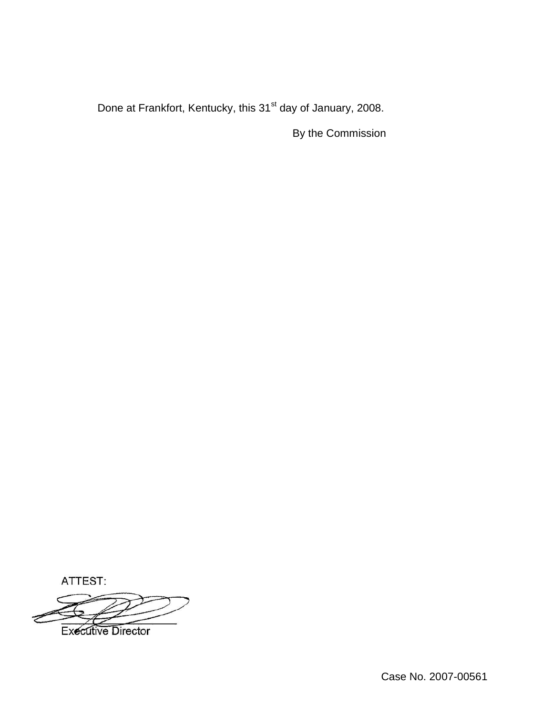Done at Frankfort, Kentucky, this 31<sup>st</sup> day of January, 2008.

By the Commission

ATTEST:



Case No. 2007-00561